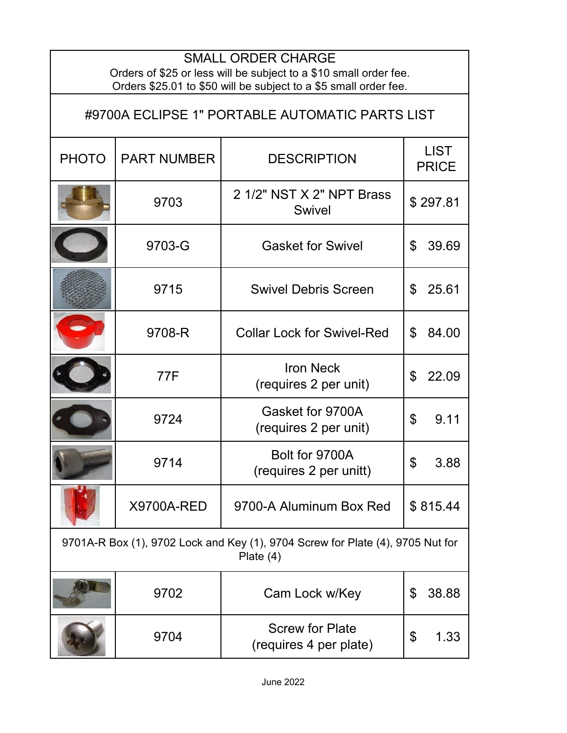| <b>SMALL ORDER CHARGE</b><br>Orders of \$25 or less will be subject to a \$10 small order fee.<br>Orders \$25.01 to \$50 will be subject to a \$5 small order fee. |                    |                                                  |                             |  |  |
|--------------------------------------------------------------------------------------------------------------------------------------------------------------------|--------------------|--------------------------------------------------|-----------------------------|--|--|
| #9700A ECLIPSE 1" PORTABLE AUTOMATIC PARTS LIST                                                                                                                    |                    |                                                  |                             |  |  |
| <b>PHOTO</b>                                                                                                                                                       | <b>PART NUMBER</b> | <b>DESCRIPTION</b>                               | <b>LIST</b><br><b>PRICE</b> |  |  |
|                                                                                                                                                                    | 9703               | 2 1/2" NST X 2" NPT Brass<br><b>Swivel</b>       | \$297.81                    |  |  |
|                                                                                                                                                                    | 9703-G             | <b>Gasket for Swivel</b>                         | \$<br>39.69                 |  |  |
|                                                                                                                                                                    | 9715               | <b>Swivel Debris Screen</b>                      | 25.61<br>\$                 |  |  |
|                                                                                                                                                                    | 9708-R             | <b>Collar Lock for Swivel-Red</b>                | \$<br>84.00                 |  |  |
|                                                                                                                                                                    | 77F                | <b>Iron Neck</b><br>(requires 2 per unit)        | \$<br>22.09                 |  |  |
|                                                                                                                                                                    | 9724               | Gasket for 9700A<br>(requires 2 per unit)        | \$<br>9.11                  |  |  |
|                                                                                                                                                                    | 9714               | Bolt for 9700A<br>(requires 2 per unitt)         | 3.88<br>Φ                   |  |  |
|                                                                                                                                                                    | <b>X9700A-RED</b>  | 9700-A Aluminum Box Red                          | \$815.44                    |  |  |
| 9701A-R Box (1), 9702 Lock and Key (1), 9704 Screw for Plate (4), 9705 Nut for<br>Plate $(4)$                                                                      |                    |                                                  |                             |  |  |
|                                                                                                                                                                    | 9702               | Cam Lock w/Key                                   | \$<br>38.88                 |  |  |
|                                                                                                                                                                    | 9704               | <b>Screw for Plate</b><br>(requires 4 per plate) | \$<br>1.33                  |  |  |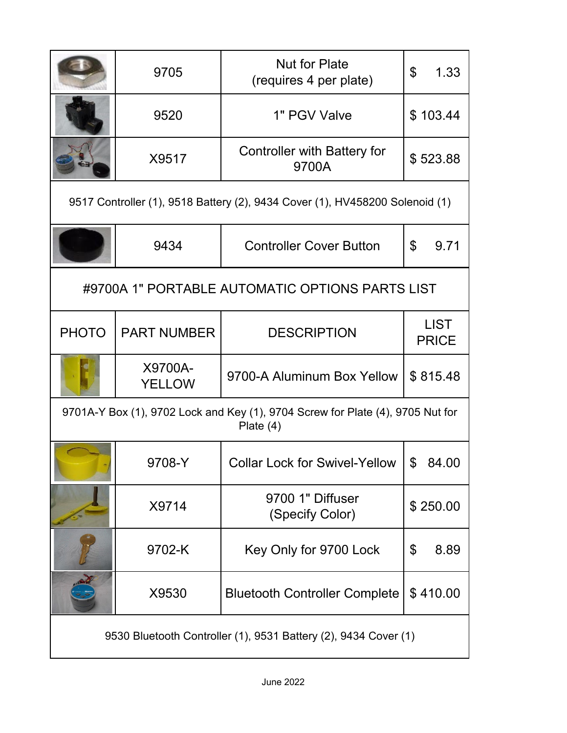|                                                                                               | 9705                     | <b>Nut for Plate</b><br>(requires 4 per plate) | \$<br>1.33                  |  |
|-----------------------------------------------------------------------------------------------|--------------------------|------------------------------------------------|-----------------------------|--|
|                                                                                               | 9520                     | 1" PGV Valve                                   | \$103.44                    |  |
|                                                                                               | X9517                    | Controller with Battery for<br>9700A           | \$523.88                    |  |
| 9517 Controller (1), 9518 Battery (2), 9434 Cover (1), HV458200 Solenoid (1)                  |                          |                                                |                             |  |
|                                                                                               | 9434                     | <b>Controller Cover Button</b>                 | $\mathbb{S}$<br>9.71        |  |
| #9700A 1" PORTABLE AUTOMATIC OPTIONS PARTS LIST                                               |                          |                                                |                             |  |
| <b>PHOTO</b>                                                                                  | <b>PART NUMBER</b>       | <b>DESCRIPTION</b>                             | <b>LIST</b><br><b>PRICE</b> |  |
|                                                                                               | X9700A-<br><b>YELLOW</b> | 9700-A Aluminum Box Yellow                     | \$815.48                    |  |
| 9701A-Y Box (1), 9702 Lock and Key (1), 9704 Screw for Plate (4), 9705 Nut for<br>Plate $(4)$ |                          |                                                |                             |  |
|                                                                                               | 9708-Y                   | <b>Collar Lock for Swivel-Yellow</b>           | \$<br>84.00                 |  |
|                                                                                               | X9714                    | 9700 1" Diffuser<br>(Specify Color)            | \$250.00                    |  |
|                                                                                               | 9702-K                   | Key Only for 9700 Lock                         | \$<br>8.89                  |  |
|                                                                                               | X9530                    | <b>Bluetooth Controller Complete</b>           | \$410.00                    |  |
| 9530 Bluetooth Controller (1), 9531 Battery (2), 9434 Cover (1)                               |                          |                                                |                             |  |